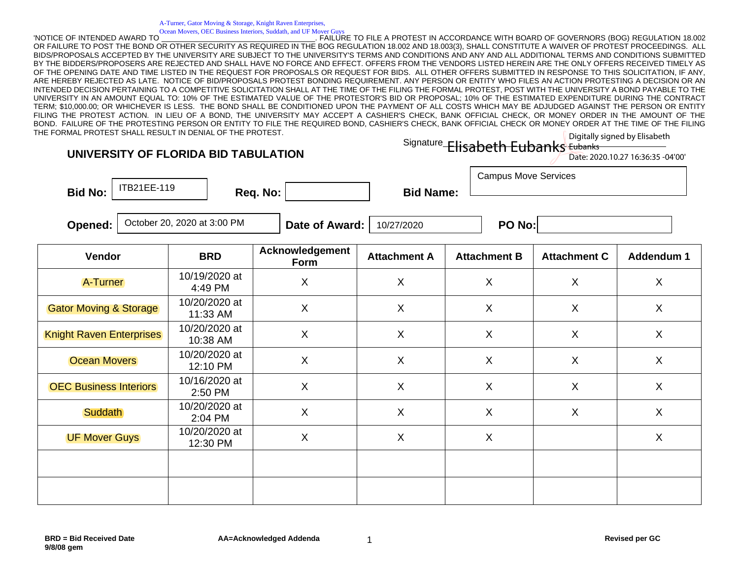A-Turner, Gator Moving & Storage, Knight Raven Enterprises, Ocean Movers, OEC Business Interiors, Suddath, and UF Mover Guys

'NOTICE OF INTENDED AWARD TO \_\_\_\_\_\_\_\_\_\_\_\_\_\_\_\_\_\_\_\_\_\_\_\_\_\_\_\_\_\_\_\_\_\_\_\_\_. FAILURE TO FILE A PROTEST IN ACCORDANCE WITH BOARD OF GOVERNORS (BOG) REGULATION 18.002 OR FAILURE TO POST THE BOND OR OTHER SECURITY AS REQUIRED IN THE BOG REGULATION 18.002 AND 18.003(3), SHALL CONSTITUTE A WAIVER OF PROTEST PROCEEDINGS. ALL BIDS/PROPOSALS ACCEPTED BY THE UNIVERSITY ARE SUBJECT TO THE UNIVERSITY'S TERMS AND CONDITIONS AND ANY AND ALL ADDITIONAL TERMS AND CONDITIONS SUBMITTED BY THE BIDDERS/PROPOSERS ARE REJECTED AND SHALL HAVE NO FORCE AND EFFECT. OFFERS FROM THE VENDORS LISTED HEREIN ARE THE ONLY OFFERS RECEIVED TIMELY AS OF THE OPENING DATE AND TIME LISTED IN THE REQUEST FOR PROPOSALS OR REQUEST FOR BIDS. ALL OTHER OFFERS SUBMITTED IN RESPONSE TO THIS SOLICITATION, IF ANY, ARE HEREBY REJECTED AS LATE. NOTICE OF BID/PROPOSALS PROTEST BONDING REQUIREMENT. ANY PERSON OR ENTITY WHO FILES AN ACTION PROTESTING A DECISION OR AN INTENDED DECISION PERTAINING TO A COMPETITIVE SOLICITATION SHALL AT THE TIME OF THE FILING THE FORMAL PROTEST, POST WITH THE UNIVERSITY A BOND PAYABLE TO THE UNIVERSITY IN AN AMOUNT EQUAL TO: 10% OF THE ESTIMATED VALUE OF THE PROTESTOR'S BID OR PROPOSAL; 10% OF THE ESTIMATED EXPENDITURE DURING THE CONTRACT TERM; \$10,000.00; OR WHICHEVER IS LESS. THE BOND SHALL BE CONDITIONED UPON THE PAYMENT OF ALL COSTS WHICH MAY BE ADJUDGED AGAINST THE PERSON OR ENTITY FILING THE PROTEST ACTION. IN LIEU OF A BOND, THE UNIVERSITY MAY ACCEPT A CASHIER'S CHECK, BANK OFFICIAL CHECK, OR MONEY ORDER IN THE AMOUNT OF THE BOND. FAILURE OF THE PROTESTING PERSON OR ENTITY TO FILE THE REQUIRED BOND, CASHIER'S CHECK, BANK OFFICIAL CHECK OR MONEY ORDER AT THE TIME OF THE FILING THE FORMAL PROTEST SHALL RESULT IN DENIAL OF THE PROTEST.

|                                     |  |  | Digitally signed by Elisabeth |  |  |
|-------------------------------------|--|--|-------------------------------|--|--|
| Signature Elisabeth Eubanks Eubanks |  |  |                               |  |  |

| Date: 2020.10.27 16:36:35 -04'00' |  |
|-----------------------------------|--|
|-----------------------------------|--|

**UNIVERSITY OF FLORIDA BID TABULATION**

Bid No:  $\vert$  <sup>HBZTEE-TT9</sup>  $\vert$  Req. No:  $\vert$  Bid Name: ITB21EE-119

**Opened:** | October 20, 2020 at 3:00 PM  $\blacksquare$  **Date of Award:** | 10/27/2020  $\blacksquare$  **PO No:** 

Campus Move Services

| Vendor                            | <b>BRD</b>                | Acknowledgement<br>Form   | <b>Attachment A</b>       | <b>Attachment B</b>       | <b>Attachment C</b>       | Addendum 1                |
|-----------------------------------|---------------------------|---------------------------|---------------------------|---------------------------|---------------------------|---------------------------|
| A-Turner                          | 10/19/2020 at<br>4:49 PM  | X                         | $\boldsymbol{\mathsf{X}}$ | X                         | X                         | X                         |
| <b>Gator Moving &amp; Storage</b> | 10/20/2020 at<br>11:33 AM | $\boldsymbol{\mathsf{X}}$ | $\boldsymbol{\mathsf{X}}$ | $\times$                  | $\boldsymbol{\mathsf{X}}$ | $\boldsymbol{\mathsf{X}}$ |
| <b>Knight Raven Enterprises</b>   | 10/20/2020 at<br>10:38 AM | $\boldsymbol{\mathsf{X}}$ | $\sf X$                   | X                         | X                         | X                         |
| <b>Ocean Movers</b>               | 10/20/2020 at<br>12:10 PM | X                         | $\boldsymbol{\mathsf{X}}$ | X                         | X                         | X                         |
| <b>OEC Business Interiors</b>     | 10/16/2020 at<br>2:50 PM  | X                         | $\sf X$                   | X                         | X                         | X                         |
| Suddath                           | 10/20/2020 at<br>2:04 PM  | $\sf X$                   | $\boldsymbol{\mathsf{X}}$ | $\boldsymbol{\mathsf{X}}$ | $\mathsf{X}$              | $\mathsf{X}$              |
| <b>UF Mover Guys</b>              | 10/20/2020 at<br>12:30 PM | X                         | $\boldsymbol{\mathsf{X}}$ | $\sf X$                   |                           | $\mathsf{X}$              |
|                                   |                           |                           |                           |                           |                           |                           |
|                                   |                           |                           |                           |                           |                           |                           |